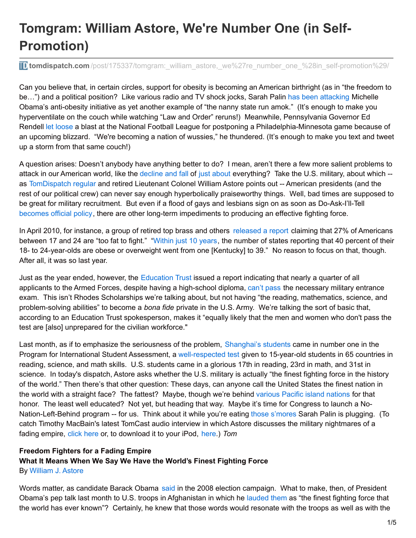# **Tomgram: William Astore, We're Number One (in Self-Promotion)**

**tomdispatch.com** [/post/175337/tomgram:\\_william\\_astore,\\_we%27re\\_number\\_one\\_%28in\\_self-promotion%29/](http://www.tomdispatch.com/post/175337/tomgram:_william_astore,_we)

Can you believe that, in certain circles, support for obesity is becoming an American birthright (as in "the freedom to be…") and a political position? Like various radio and TV shock jocks, Sarah Palin has been [attacking](http://www.washingtonpost.com/wp-dyn/content/article/2010/12/29/AR2010122901940.html) Michelle Obama's anti-obesity initiative as yet another example of "the nanny state run amok." (It's enough to make you hyperventilate on the couch while watching "Law and Order" reruns!) Meanwhile, Pennsylvania Governor Ed Rendell let [loose](http://sports.yahoo.com/nfl/blog/shutdown_corner/post/Pennsylvania-governor-slams-NFL-for-canceling-Ea?urn=nfl-300773) a blast at the National Football League for postponing a Philadelphia-Minnesota game because of an upcoming blizzard. "We're becoming a nation of wussies," he thundered. (It's enough to make you text and tweet up a storm from that same couch!)

A question arises: Doesn't anybody have anything better to do? I mean, aren't there a few more salient problems to attack in our American world, like the [decline](http://www.tomdispatch.com/blog/175327/tomgram:_alfred_mccoy,_taking_down_america) and fall of just [about](http://www.tomdispatch.com/post/175326/tomgram%3A_andy_kroll,_how_the_oligarchs_took_america/) everything? Take the U.S. military, about which --as [TomDispatch](http://www.tomdispatch.com/archive/175276/william_astore_wars_don%27t_make_heroes) regular and retired Lieutenant Colonel William Astore points out -- American presidents (and the rest of our political crew) can never say enough hyperbolically praiseworthy things. Well, bad times are supposed to be great for military recruitment. But even if a flood of gays and lesbians sign on as soon as Do-Ask-I'll-Tell [becomes](http://www.washingtonpost.com/wp-dyn/content/article/2010/12/18/AR2010121801729_pf.html) official policy, there are other long-term impediments to producing an effective fighting force.

In April 2010, for instance, a group of retired top brass and others [released](http://www.newsweek.com/blogs/the-human-condition/2010/04/20/too-fat-to-fight-army-recruiters-discuss-new-report.html) a report claiming that 27% of Americans between 17 and 24 are "too fat to fight." ["Within](http://www.washingtonpost.com/wp-dyn/content/article/2010/06/15/AR2010061502306.html) just 10 years, the number of states reporting that 40 percent of their 18- to 24-year-olds are obese or overweight went from one [Kentucky] to 39." No reason to focus on that, though. After all, it was so last year.

Just as the year ended, however, the [Education](http://www.edtrust.org/) Trust issued a report indicating that nearly a quarter of all applicants to the Armed Forces, despite having a high-school diploma, [can't](http://articles.cnn.com/2010-12-22/us/army.extrance.exam_1_entrance-exam-science-and-reading-tests-scores?_s=PM:US) pass the necessary military entrance exam. This isn't Rhodes Scholarships we're talking about, but not having "the reading, mathematics, science, and problem-solving abilities" to become a *bona fide* private in the U.S. Army. We're talking the sort of basic that, according to an Education Trust spokesperson, makes it "equally likely that the men and women who don't pass the test are [also] unprepared for the civilian workforce."

Last month, as if to emphasize the seriousness of the problem, [Shanghai's](http://www.nytimes.com/2010/12/30/world/asia/30shanghai.html) students came in number one in the Program for International Student Assessment, a [well-respected](http://www.nytimes.com/2010/12/07/education/07education.html) test given to 15-year-old students in 65 countries in reading, science, and math skills. U.S. students came in a glorious 17th in reading, 23rd in math, and 31st in science. In today's dispatch, Astore asks whether the U.S. military is actually "the finest fighting force in the history of the world." Then there's that other question: These days, can anyone call the United States the finest nation in the world with a straight face? The fattest? Maybe, though we're behind [various](http://www.nzherald.co.nz/tonga/news/article.cfm?l_id=104&objectid=10696658) Pacific island nations for that honor. The least well educated? Not yet, but heading that way. Maybe it's time for Congress to launch a No-Nation-Left-Behind program -- for us. Think about it while you're eating those [s'mores](http://www.washingtonpost.com/wp-dyn/content/article/2010/12/29/AR2010122901940.html) Sarah Palin is plugging. (To catch Timothy MacBain's latest TomCast audio interview in which Astore discusses the military nightmares of a fading empire, [click](http://tomdispatch.blogspot.com/2011/01/forced-out.html) here or, to download it to your iPod, [here](http://click.linksynergy.com/fs-bin/click?id=j0SS4Al/iVI&subid=&offerid=146261.1&type=10&tmpid=5573&RD_PARM1=http%3A%2F%2Fitunes.apple.com%2Fus%2Fpodcast%2Ftomcast-from-tomdispatch-com%2Fid357095817).) *Tom*

## **Freedom Fighters for a Fading Empire**

**What It Means When We Say We Have the World's Finest Fighting Force**

By [William](http://www.tomdispatch.com/authors/williamastore) J. Astore

Words matter, as candidate Barack Obama [said](http://www.youtube.com/watch?v=SgMcht-EW6I) in the 2008 election campaign. What to make, then, of President Obama's pep talk last month to U.S. troops in Afghanistan in which he [lauded](http://articles.cnn.com/2010-12-03/politics/afghanistan.obama_1_ambassador-karl-eikenberry-karzai-aides-president-hamid-karzai?_s=PM:POLITICS) them as "the finest fighting force that the world has ever known"? Certainly, he knew that those words would resonate with the troops as well as with the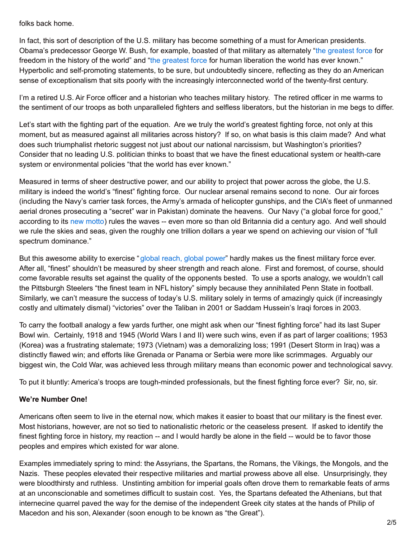folks back home.

In fact, this sort of description of the U.S. military has become something of a must for American presidents. Obama's predecessor George W. Bush, for example, boasted of that military as alternately "the [greatest](http://www.fff.org/comment/com0603h.asp) force for freedom in the history of the world" and "the [greatest](http://www.nytimes.com/2007/08/22/washington/w23policytext.html) force for human liberation the world has ever known." Hyperbolic and self-promoting statements, to be sure, but undoubtedly sincere, reflecting as they do an American sense of exceptionalism that sits poorly with the increasingly interconnected world of the twenty-first century.

I'm a retired U.S. Air Force officer and a historian who teaches military history. The retired officer in me warms to the sentiment of our troops as both unparalleled fighters and selfless liberators, but the historian in me begs to differ.

Let's start with the fighting part of the equation. Are we truly the world's greatest fighting force, not only at this moment, but as measured against all militaries across history? If so, on what basis is this claim made? And what does such triumphalist rhetoric suggest not just about our national narcissism, but Washington's priorities? Consider that no leading U.S. politician thinks to boast that we have the finest educational system or health-care system or environmental policies "that the world has ever known."

Measured in terms of sheer destructive power, and our ability to project that power across the globe, the U.S. military is indeed the world's "finest" fighting force. Our nuclear arsenal remains second to none. Our air forces (including the Navy's carrier task forces, the Army's armada of helicopter gunships, and the CIA's fleet of unmanned aerial drones prosecuting a "secret" war in Pakistan) dominate the heavens. Our Navy ("a global force for good," according to its new [motto](http://www.navy.com/navy)) rules the waves -- even more so than old Britannia did a century ago. And well should we rule the skies and seas, given the roughly one trillion dollars a year we spend on achieving our vision of "full spectrum dominance."

But this awesome ability to exercise " global [reach,](http://www.airforce.com/learn-about/history/part4/) global power" hardly makes us the finest military force ever. After all, "finest" shouldn't be measured by sheer strength and reach alone. First and foremost, of course, should come favorable results set against the quality of the opponents bested. To use a sports analogy, we wouldn't call the Pittsburgh Steelers "the finest team in NFL history" simply because they annihilated Penn State in football. Similarly, we can't measure the success of today's U.S. military solely in terms of amazingly quick (if increasingly costly and ultimately dismal) "victories" over the Taliban in 2001 or Saddam Hussein's Iraqi forces in 2003.

To carry the football analogy a few yards further, one might ask when our "finest fighting force" had its last Super Bowl win. Certainly, 1918 and 1945 (World Wars I and II) were such wins, even if as part of larger coalitions; 1953 (Korea) was a frustrating stalemate; 1973 (Vietnam) was a demoralizing loss; 1991 (Desert Storm in Iraq) was a distinctly flawed win; and efforts like Grenada or Panama or Serbia were more like scrimmages. Arguably our biggest win, the Cold War, was achieved less through military means than economic power and technological savvy.

To put it bluntly: America's troops are tough-minded professionals, but the finest fighting force ever? Sir, no, sir.

#### **We're Number One!**

Americans often seem to live in the eternal now, which makes it easier to boast that our military is the finest ever. Most historians, however, are not so tied to nationalistic rhetoric or the ceaseless present. If asked to identify the finest fighting force in history, my reaction -- and I would hardly be alone in the field -- would be to favor those peoples and empires which existed for war alone.

Examples immediately spring to mind: the Assyrians, the Spartans, the Romans, the Vikings, the Mongols, and the Nazis. These peoples elevated their respective militaries and martial prowess above all else. Unsurprisingly, they were bloodthirsty and ruthless. Unstinting ambition for imperial goals often drove them to remarkable feats of arms at an unconscionable and sometimes difficult to sustain cost. Yes, the Spartans defeated the Athenians, but that internecine quarrel paved the way for the demise of the independent Greek city states at the hands of Philip of Macedon and his son, Alexander (soon enough to be known as "the Great").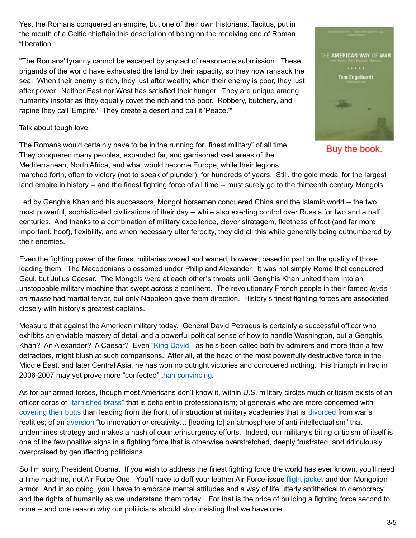Yes, the Romans conquered an empire, but one of their own historians, Tacitus, put in the mouth of a Celtic chieftain this description of being on the receiving end of Roman "liberation":

"The Romans' tyranny cannot be escaped by any act of reasonable submission. These brigands of the world have exhausted the land by their rapacity, so they now ransack the sea. When their enemy is rich, they lust after wealth; when their enemy is poor, they lust after power. Neither East nor West has satisfied their hunger. They are unique among humanity insofar as they equally covet the rich and the poor. Robbery, butchery, and rapine they call 'Empire.' They create a desert and call it 'Peace.'"

Talk about tough love.

The Romans would certainly have to be in the running for "finest military" of all time. They conquered many peoples, expanded far, and garrisoned vast areas of the Mediterranean, North Africa, and what would become Europe, while their legions



Buy the book.

marched forth, often to victory (not to speak of plunder), for hundreds of years. Still, the gold medal for the largest land empire in history -- and the finest fighting force of all time -- must surely go to the thirteenth century Mongols.

Led by Genghis Khan and his successors, Mongol horsemen conquered China and the Islamic world -- the two most powerful, sophisticated civilizations of their day -- while also exerting control over Russia for two and a half centuries. And thanks to a combination of military excellence, clever stratagem, fleetness of foot (and far more important, hoof), flexibility, and when necessary utter ferocity, they did all this while generally being outnumbered by their enemies.

Even the fighting power of the finest militaries waxed and waned, however, based in part on the quality of those leading them. The Macedonians blossomed under Philip and Alexander. It was not simply Rome that conquered Gaul, but Julius Caesar. The Mongols were at each other's throats until Genghis Khan united them into an unstoppable military machine that swept across a continent. The revolutionary French people in their famed *levée en masse* had martial fervor, but only Napoleon gave them direction. History's finest fighting forces are associated closely with history's greatest captains.

Measure that against the American military today. General David Petraeus is certainly a successful officer who exhibits an enviable mastery of detail and a powerful political sense of how to handle Washington, but a Genghis Khan? An Alexander? A Caesar? Even "King [David,"](http://washingtonindependent.com/1433/king-david) as he's been called both by admirers and more than a few detractors, might blush at such comparisons. After all, at the head of the most powerfully destructive force in the Middle East, and later Central Asia, he has won no outright victories and conquered nothing. His triumph in Iraq in 2006-2007 may yet prove more "confected" than [convincing](http://security.nationaljournal.com/2010/12/afghan-review-tipping-point-or.php#1818700).

As for our armed forces, though most Americans don't know it, within U.S. military circles much criticism exists of an officer corps of ["tarnished](http://www.worldaffairsjournal.org/articles/2009-Spring/full-Kohn.html) brass" that is deficient in professionalism; of generals who are more concerned with [covering](http://www.armedforcesjournal.com/2007/05/2635198) their butts than leading from the front; of instruction at military academies that is [divorced](http://ricks.foreignpolicy.com/posts/2010/06/11/west_point_faculty_member_worries_it_is_failing_to_prepare_tomorrow_s_officers) from war's realities; of an [aversion](http://www.humanevents.com/article.php?id=40147) "to innovation or creativity... [leading to] an atmosphere of anti-intellectualism" that undermines strategy and makes a hash of counterinsurgency efforts. Indeed, our military's biting criticism of itself is one of the few positive signs in a fighting force that is otherwise overstretched, deeply frustrated, and ridiculously overpraised by genuflecting politicians.

So I'm sorry, President Obama. If you wish to address the finest fighting force the world has ever known, you'll need a time machine, not Air Force One. You'll have to doff your leather Air Force-issue flight [jacket](http://www.huffingtonpost.com/william-astore/military-clothing-for-pre_b_517635.html) and don Mongolian armor. And in so doing, you'll have to embrace mental attitudes and a way of life utterly antithetical to democracy and the rights of humanity as we understand them today. For that is the price of building a fighting force second to none -- and one reason why our politicians should stop insisting that we have one.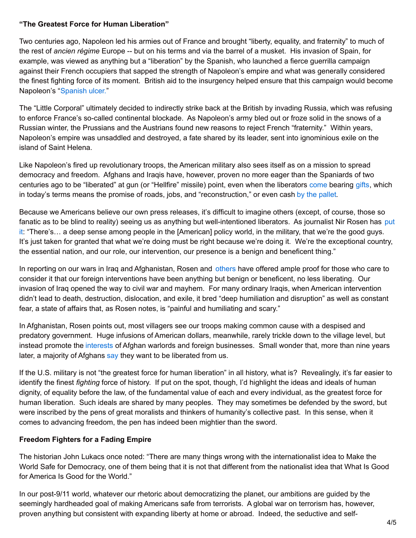### **"The Greatest Force for Human Liberation"**

Two centuries ago, Napoleon led his armies out of France and brought "liberty, equality, and fraternity" to much of the rest of *ancien régime* Europe -- but on his terms and via the barrel of a musket. His invasion of Spain, for example, was viewed as anything but a "liberation" by the Spanish, who launched a fierce guerrilla campaign against their French occupiers that sapped the strength of Napoleon's empire and what was generally considered the finest fighting force of its moment. British aid to the insurgency helped ensure that this campaign would become Napoleon's "[Spanish](http://www.neh.gov/news/humanities/2010-01/Napoleon.html) ulcer."

The "Little Corporal" ultimately decided to indirectly strike back at the British by invading Russia, which was refusing to enforce France's so-called continental blockade. As Napoleon's army bled out or froze solid in the snows of a Russian winter, the Prussians and the Austrians found new reasons to reject French "fraternity." Within years, Napoleon's empire was unsaddled and destroyed, a fate shared by its leader, sent into ignominious exile on the island of Saint Helena.

Like Napoleon's fired up revolutionary troops, the American military also sees itself as on a mission to spread democracy and freedom. Afghans and Iraqis have, however, proven no more eager than the Spaniards of two centuries ago to be "liberated" at gun (or "Hellfire" missile) point, even when the liberators [come](http://www.washingtonpost.com/wp-dyn/content/graphic/2011/01/02/GR2011010203051.html?hpid=topnews) bearing [gifts](http://www.washingtonpost.com/wp-dyn/content/article/2011/01/03/AR2011010302175_pf.html), which in today's terms means the promise of roads, jobs, and "reconstruction," or even cash by the [pallet](http://www.guardian.co.uk/world/2007/feb/08/usa.iraq1).

Because we Americans believe our own press releases, it's difficult to imagine others (except, of course, those so fanatic as to be blind to reality) seeing us as anything but [well-intentioned](http://www.salon.com/news/opinion/glenn_greenwald/radio/2010/12/13/rosen_transcript/index.html) liberators. As journalist Nir Rosen has put it: "There's... a deep sense among people in the [American] policy world, in the military, that we're the good guys. It's just taken for granted that what we're doing must be right because we're doing it. We're the exceptional country, the essential nation, and our role, our intervention, our presence is a benign and beneficent thing."

In reporting on our wars in Iraq and Afghanistan, Rosen and [others](http://www.independent.co.uk/opinion/commentators/patrick-cockburn-history-is-repeating-itself-in-afghanistan-2163641.html) have offered ample proof for those who care to consider it that our foreign interventions have been anything but benign or beneficent, no less liberating. Our invasion of Iraq opened the way to civil war and mayhem. For many ordinary Iraqis, when American intervention didn't lead to death, destruction, dislocation, and exile, it bred "deep humiliation and disruption" as well as constant fear, a state of affairs that, as Rosen notes, is "painful and humiliating and scary."

In Afghanistan, Rosen points out, most villagers see our troops making common cause with a despised and predatory government. Huge infusions of American dollars, meanwhile, rarely trickle down to the village level, but instead promote the [interests](http://www.counterpunch.org/patrick12132010.html) of Afghan warlords and foreign businesses. Small wonder that, more than nine years later, a majority of Afghans [say](http://www.washingtonpost.com/wp-dyn/content/article/2010/12/06/AR2010120601788.html) they want to be liberated from us.

If the U.S. military is not "the greatest force for human liberation" in all history, what is? Revealingly, it's far easier to identify the finest *fighting* force of history. If put on the spot, though, I'd highlight the ideas and ideals of human dignity, of equality before the law, of the fundamental value of each and every individual, as the greatest force for human liberation. Such ideals are shared by many peoples. They may sometimes be defended by the sword, but were inscribed by the pens of great moralists and thinkers of humanity's collective past. In this sense, when it comes to advancing freedom, the pen has indeed been mightier than the sword.

## **Freedom Fighters for a Fading Empire**

The historian John Lukacs once noted: "There are many things wrong with the internationalist idea to Make the World Safe for Democracy, one of them being that it is not that different from the nationalist idea that What Is Good for America Is Good for the World."

In our post-9/11 world, whatever our rhetoric about democratizing the planet, our ambitions are guided by the seemingly hardheaded goal of making Americans safe from terrorists. A global war on terrorism has, however, proven anything but consistent with expanding liberty at home or abroad. Indeed, the seductive and self